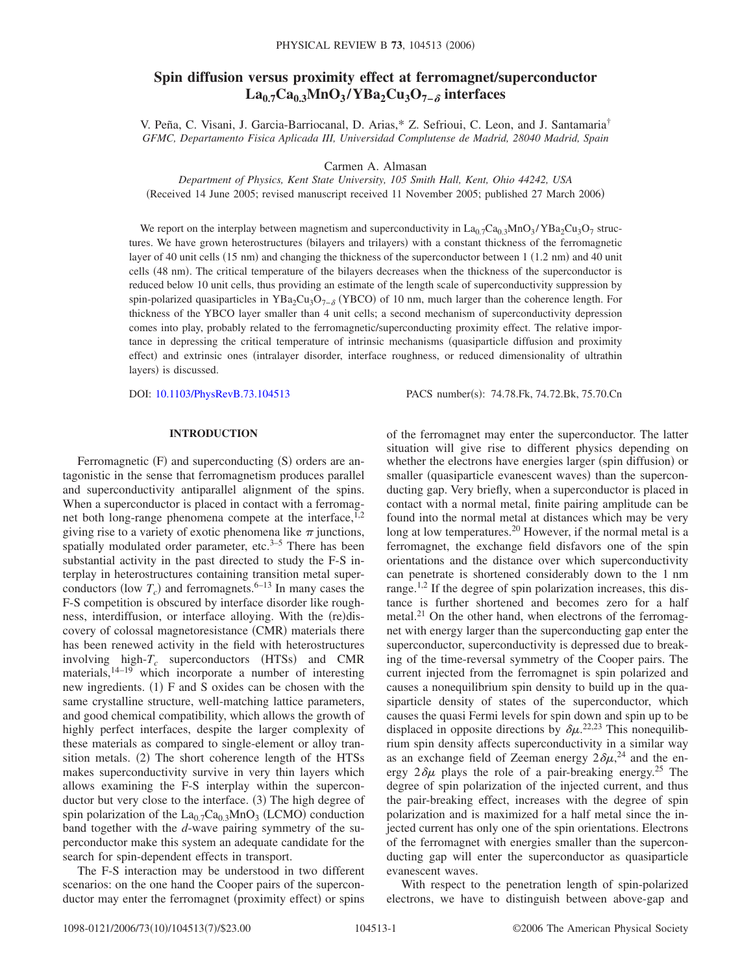# **Spin diffusion versus proximity effect at ferromagnet/superconductor La0.7Ca0.3MnO3 /YBa2Cu3O7− interfaces**

V. Peña, C. Visani, J. Garcia-Barriocanal, D. Arias,\* Z. Sefrioui, C. Leon, and J. Santamaria† *GFMC, Departamento Fisica Aplicada III, Universidad Complutense de Madrid, 28040 Madrid, Spain*

Carmen A. Almasan

*Department of Physics, Kent State University, 105 Smith Hall, Kent, Ohio 44242, USA* (Received 14 June 2005; revised manuscript received 11 November 2005; published 27 March 2006)

We report on the interplay between magnetism and superconductivity in  $La_{0.7}Ca_{0.3}MnO_3/YBa_2Cu_3O_7$  structures. We have grown heterostructures (bilayers and trilayers) with a constant thickness of the ferromagnetic layer of 40 unit cells (15 nm) and changing the thickness of the superconductor between 1 (1.2 nm) and 40 unit cells (48 nm). The critical temperature of the bilayers decreases when the thickness of the superconductor is reduced below 10 unit cells, thus providing an estimate of the length scale of superconductivity suppression by spin-polarized quasiparticles in YBa<sub>2</sub>Cu<sub>3</sub>O<sub>7− $\delta$ </sub> (YBCO) of 10 nm, much larger than the coherence length. For thickness of the YBCO layer smaller than 4 unit cells; a second mechanism of superconductivity depression comes into play, probably related to the ferromagnetic/superconducting proximity effect. The relative importance in depressing the critical temperature of intrinsic mechanisms quasiparticle diffusion and proximity effect) and extrinsic ones (intralayer disorder, interface roughness, or reduced dimensionality of ultrathin layers) is discussed.

DOI: [10.1103/PhysRevB.73.104513](http://dx.doi.org/10.1103/PhysRevB.73.104513)

PACS number(s): 74.78.Fk, 74.72.Bk, 75.70.Cn

### **INTRODUCTION**

Ferromagnetic (F) and superconducting (S) orders are antagonistic in the sense that ferromagnetism produces parallel and superconductivity antiparallel alignment of the spins. When a superconductor is placed in contact with a ferromagnet both long-range phenomena compete at the interface,  $1,2$ giving rise to a variety of exotic phenomena like  $\pi$  junctions, spatially modulated order parameter, etc. $3-5$  There has been substantial activity in the past directed to study the F-S interplay in heterostructures containing transition metal superconductors (low  $T_c$ ) and ferromagnets.<sup>6–13</sup> In many cases the F-S competition is obscured by interface disorder like roughness, interdiffusion, or interface alloying. With the (re)discovery of colossal magnetoresistance (CMR) materials there has been renewed activity in the field with heterostructures involving high- $T_c$  superconductors (HTSs) and CMR materials,<sup>14–19</sup> which incorporate a number of interesting new ingredients. (1) F and S oxides can be chosen with the same crystalline structure, well-matching lattice parameters, and good chemical compatibility, which allows the growth of highly perfect interfaces, despite the larger complexity of these materials as compared to single-element or alloy transition metals. (2) The short coherence length of the HTSs makes superconductivity survive in very thin layers which allows examining the F-S interplay within the superconductor but very close to the interface. (3) The high degree of spin polarization of the  $La_{0.7}Ca_{0.3}MnO_3$  (LCMO) conduction band together with the *d*-wave pairing symmetry of the superconductor make this system an adequate candidate for the search for spin-dependent effects in transport.

The F-S interaction may be understood in two different scenarios: on the one hand the Cooper pairs of the superconductor may enter the ferromagnet (proximity effect) or spins

of the ferromagnet may enter the superconductor. The latter situation will give rise to different physics depending on whether the electrons have energies larger (spin diffusion) or smaller (quasiparticle evanescent waves) than the superconducting gap. Very briefly, when a superconductor is placed in contact with a normal metal, finite pairing amplitude can be found into the normal metal at distances which may be very long at low temperatures.<sup>20</sup> However, if the normal metal is a ferromagnet, the exchange field disfavors one of the spin orientations and the distance over which superconductivity can penetrate is shortened considerably down to the 1 nm range.<sup>1,2</sup> If the degree of spin polarization increases, this distance is further shortened and becomes zero for a half metal. $^{21}$  On the other hand, when electrons of the ferromagnet with energy larger than the superconducting gap enter the superconductor, superconductivity is depressed due to breaking of the time-reversal symmetry of the Cooper pairs. The current injected from the ferromagnet is spin polarized and causes a nonequilibrium spin density to build up in the quasiparticle density of states of the superconductor, which causes the quasi Fermi levels for spin down and spin up to be displaced in opposite directions by  $\delta \mu$ <sup>22,23</sup> This nonequilibrium spin density affects superconductivity in a similar way as an exchange field of Zeeman energy  $2\delta\mu^{24}$  and the energy  $2\delta\mu$  plays the role of a pair-breaking energy.<sup>25</sup> The degree of spin polarization of the injected current, and thus the pair-breaking effect, increases with the degree of spin polarization and is maximized for a half metal since the injected current has only one of the spin orientations. Electrons of the ferromagnet with energies smaller than the superconducting gap will enter the superconductor as quasiparticle evanescent waves.

With respect to the penetration length of spin-polarized electrons, we have to distinguish between above-gap and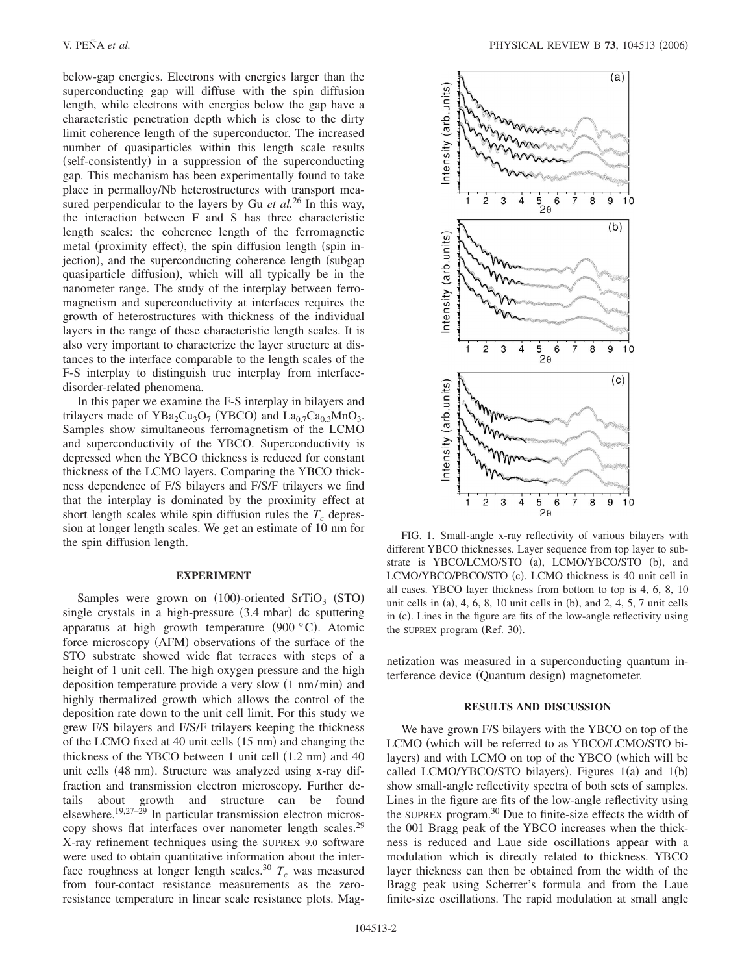below-gap energies. Electrons with energies larger than the superconducting gap will diffuse with the spin diffusion length, while electrons with energies below the gap have a characteristic penetration depth which is close to the dirty limit coherence length of the superconductor. The increased number of quasiparticles within this length scale results (self-consistently) in a suppression of the superconducting gap. This mechanism has been experimentally found to take place in permalloy/Nb heterostructures with transport measured perpendicular to the layers by Gu *et al.*<sup>26</sup> In this way, the interaction between F and S has three characteristic length scales: the coherence length of the ferromagnetic metal (proximity effect), the spin diffusion length (spin injection), and the superconducting coherence length (subgap quasiparticle diffusion), which will all typically be in the nanometer range. The study of the interplay between ferromagnetism and superconductivity at interfaces requires the growth of heterostructures with thickness of the individual layers in the range of these characteristic length scales. It is also very important to characterize the layer structure at distances to the interface comparable to the length scales of the F-S interplay to distinguish true interplay from interfacedisorder-related phenomena.

In this paper we examine the F-S interplay in bilayers and trilayers made of  $YBa<sub>2</sub>Cu<sub>3</sub>O<sub>7</sub>$  (YBCO) and  $La<sub>0.7</sub>Ca<sub>0.3</sub>MnO<sub>3</sub>$ . Samples show simultaneous ferromagnetism of the LCMO and superconductivity of the YBCO. Superconductivity is depressed when the YBCO thickness is reduced for constant thickness of the LCMO layers. Comparing the YBCO thickness dependence of F/S bilayers and F/S/F trilayers we find that the interplay is dominated by the proximity effect at short length scales while spin diffusion rules the  $T_c$  depression at longer length scales. We get an estimate of 10 nm for the spin diffusion length.

## **EXPERIMENT**

Samples were grown on  $(100)$ -oriented SrTiO<sub>3</sub> (STO) single crystals in a high-pressure (3.4 mbar) dc sputtering apparatus at high growth temperature (900 $\degree$ C). Atomic force microscopy (AFM) observations of the surface of the STO substrate showed wide flat terraces with steps of a height of 1 unit cell. The high oxygen pressure and the high deposition temperature provide a very slow (1 nm/min) and highly thermalized growth which allows the control of the deposition rate down to the unit cell limit. For this study we grew F/S bilayers and F/S/F trilayers keeping the thickness of the LCMO fixed at 40 unit cells (15 nm) and changing the thickness of the YBCO between 1 unit cell (1.2 nm) and 40 unit cells (48 nm). Structure was analyzed using x-ray diffraction and transmission electron microscopy. Further details about growth and structure can be found elsewhere.19,27–29 In particular transmission electron microscopy shows flat interfaces over nanometer length scales.29 X-ray refinement techniques using the SUPREX 9.0 software were used to obtain quantitative information about the interface roughness at longer length scales.<sup>30</sup>  $T_c$  was measured from four-contact resistance measurements as the zeroresistance temperature in linear scale resistance plots. Mag-



FIG. 1. Small-angle x-ray reflectivity of various bilayers with different YBCO thicknesses. Layer sequence from top layer to substrate is YBCO/LCMO/STO (a), LCMO/YBCO/STO (b), and LCMO/YBCO/PBCO/STO (c). LCMO thickness is 40 unit cell in all cases. YBCO layer thickness from bottom to top is 4, 6, 8, 10 unit cells in  $(a)$ , 4, 6, 8, 10 unit cells in  $(b)$ , and 2, 4, 5, 7 unit cells in (c). Lines in the figure are fits of the low-angle reflectivity using the SUPREX program (Ref. 30).

netization was measured in a superconducting quantum interference device (Quantum design) magnetometer.

#### **RESULTS AND DISCUSSION**

We have grown F/S bilayers with the YBCO on top of the LCMO (which will be referred to as YBCO/LCMO/STO bilayers) and with LCMO on top of the YBCO (which will be called LCMO/YBCO/STO bilayers). Figures  $1(a)$  and  $1(b)$ show small-angle reflectivity spectra of both sets of samples. Lines in the figure are fits of the low-angle reflectivity using the SUPREX program.<sup>30</sup> Due to finite-size effects the width of the 001 Bragg peak of the YBCO increases when the thickness is reduced and Laue side oscillations appear with a modulation which is directly related to thickness. YBCO layer thickness can then be obtained from the width of the Bragg peak using Scherrer's formula and from the Laue finite-size oscillations. The rapid modulation at small angle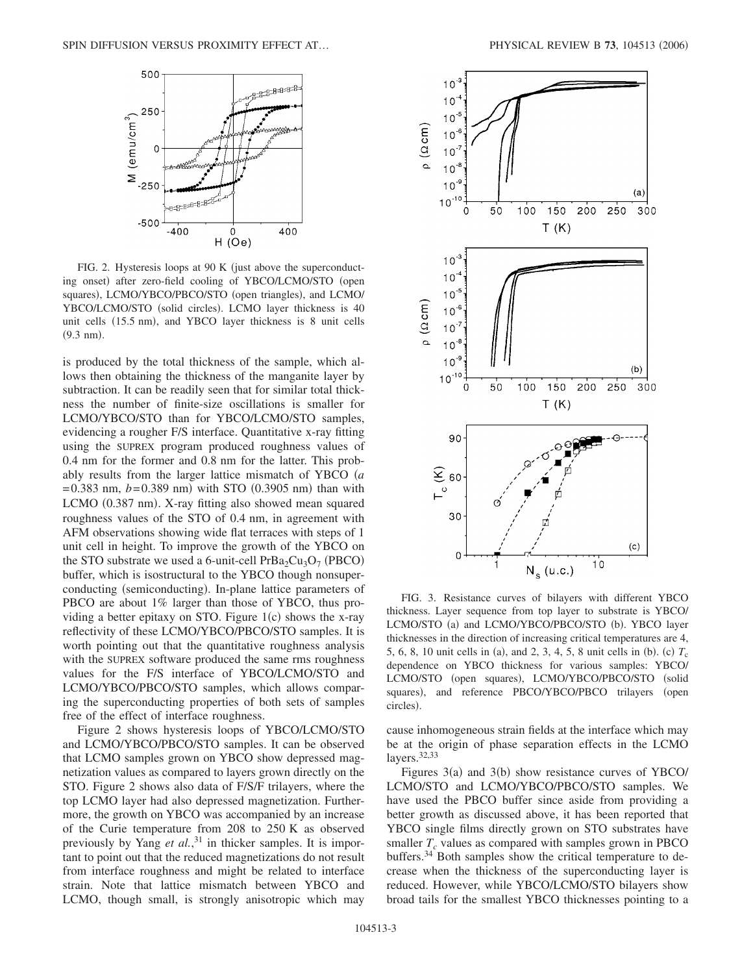

FIG. 2. Hysteresis loops at 90 K (just above the superconducting onset) after zero-field cooling of YBCO/LCMO/STO (open squares), LCMO/YBCO/PBCO/STO (open triangles), and LCMO/ YBCO/LCMO/STO (solid circles). LCMO layer thickness is 40 unit cells (15.5 nm), and YBCO layer thickness is 8 unit cells  $(9.3 \text{ nm}).$ 

is produced by the total thickness of the sample, which allows then obtaining the thickness of the manganite layer by subtraction. It can be readily seen that for similar total thickness the number of finite-size oscillations is smaller for LCMO/YBCO/STO than for YBCO/LCMO/STO samples, evidencing a rougher F/S interface. Quantitative x-ray fitting using the SUPREX program produced roughness values of 0.4 nm for the former and 0.8 nm for the latter. This probably results from the larger lattice mismatch of YBCO *a*  $= 0.383$  nm,  $b = 0.389$  nm) with STO  $(0.3905$  nm) than with LCMO (0.387 nm). X-ray fitting also showed mean squared roughness values of the STO of 0.4 nm, in agreement with AFM observations showing wide flat terraces with steps of 1 unit cell in height. To improve the growth of the YBCO on the STO substrate we used a 6-unit-cell  $PrBa<sub>2</sub>Cu<sub>3</sub>O<sub>7</sub>$  (PBCO) buffer, which is isostructural to the YBCO though nonsuperconducting (semiconducting). In-plane lattice parameters of PBCO are about 1% larger than those of YBCO, thus providing a better epitaxy on STO. Figure  $1(c)$  shows the x-ray reflectivity of these LCMO/YBCO/PBCO/STO samples. It is worth pointing out that the quantitative roughness analysis with the SUPREX software produced the same rms roughness values for the F/S interface of YBCO/LCMO/STO and LCMO/YBCO/PBCO/STO samples, which allows comparing the superconducting properties of both sets of samples free of the effect of interface roughness.

Figure 2 shows hysteresis loops of YBCO/LCMO/STO and LCMO/YBCO/PBCO/STO samples. It can be observed that LCMO samples grown on YBCO show depressed magnetization values as compared to layers grown directly on the STO. Figure 2 shows also data of F/S/F trilayers, where the top LCMO layer had also depressed magnetization. Furthermore, the growth on YBCO was accompanied by an increase of the Curie temperature from 208 to 250 K as observed previously by Yang *et al.*, <sup>31</sup> in thicker samples. It is important to point out that the reduced magnetizations do not result from interface roughness and might be related to interface strain. Note that lattice mismatch between YBCO and LCMO, though small, is strongly anisotropic which may



FIG. 3. Resistance curves of bilayers with different YBCO thickness. Layer sequence from top layer to substrate is YBCO/ LCMO/STO (a) and LCMO/YBCO/PBCO/STO (b). YBCO layer thicknesses in the direction of increasing critical temperatures are 4, 5, 6, 8, 10 unit cells in (a), and 2, 3, 4, 5, 8 unit cells in (b). (c)  $T_c$ dependence on YBCO thickness for various samples: YBCO/ LCMO/STO (open squares), LCMO/YBCO/PBCO/STO (solid squares), and reference PBCO/YBCO/PBCO trilayers (open circles).

cause inhomogeneous strain fields at the interface which may be at the origin of phase separation effects in the LCMO layers.<sup>32,33</sup>

Figures 3(a) and 3(b) show resistance curves of YBCO/ LCMO/STO and LCMO/YBCO/PBCO/STO samples. We have used the PBCO buffer since aside from providing a better growth as discussed above, it has been reported that YBCO single films directly grown on STO substrates have smaller  $T_c$  values as compared with samples grown in PBCO buffers.<sup>34</sup> Both samples show the critical temperature to decrease when the thickness of the superconducting layer is reduced. However, while YBCO/LCMO/STO bilayers show broad tails for the smallest YBCO thicknesses pointing to a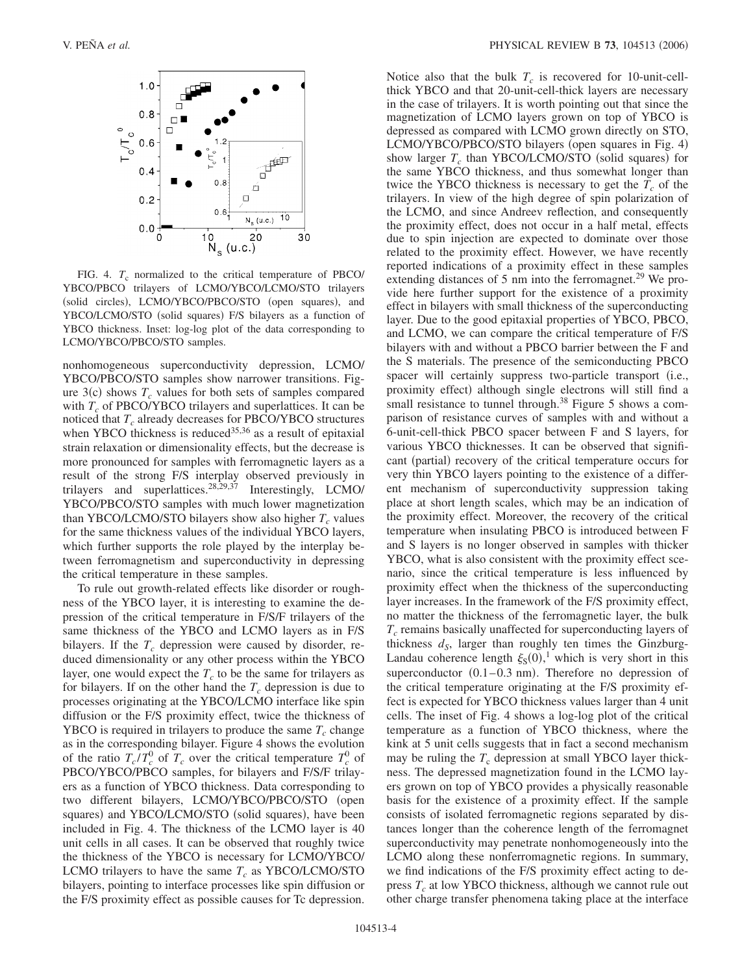

FIG. 4.  $T_c$  normalized to the critical temperature of PBCO/ YBCO/PBCO trilayers of LCMO/YBCO/LCMO/STO trilayers (solid circles), LCMO/YBCO/PBCO/STO (open squares), and YBCO/LCMO/STO (solid squares) F/S bilayers as a function of YBCO thickness. Inset: log-log plot of the data corresponding to LCMO/YBCO/PBCO/STO samples.

nonhomogeneous superconductivity depression, LCMO/ YBCO/PBCO/STO samples show narrower transitions. Figure  $3(c)$  shows  $T_c$  values for both sets of samples compared with  $T_c$  of PBCO/YBCO trilayers and superlattices. It can be noticed that  $T_c$  already decreases for PBCO/YBCO structures when YBCO thickness is reduced $35,36$  as a result of epitaxial strain relaxation or dimensionality effects, but the decrease is more pronounced for samples with ferromagnetic layers as a result of the strong F/S interplay observed previously in trilayers and superlattices.<sup>28,29,37</sup> Interestingly, LCMO/ YBCO/PBCO/STO samples with much lower magnetization than YBCO/LCMO/STO bilayers show also higher  $T_c$  values for the same thickness values of the individual YBCO layers, which further supports the role played by the interplay between ferromagnetism and superconductivity in depressing the critical temperature in these samples.

To rule out growth-related effects like disorder or roughness of the YBCO layer, it is interesting to examine the depression of the critical temperature in F/S/F trilayers of the same thickness of the YBCO and LCMO layers as in F/S bilayers. If the  $T_c$  depression were caused by disorder, reduced dimensionality or any other process within the YBCO layer, one would expect the  $T_c$  to be the same for trilayers as for bilayers. If on the other hand the  $T_c$  depression is due to processes originating at the YBCO/LCMO interface like spin diffusion or the F/S proximity effect, twice the thickness of YBCO is required in trilayers to produce the same  $T_c$  change as in the corresponding bilayer. Figure 4 shows the evolution of the ratio  $T_c / T_c^0$  of  $T_c$  over the critical temperature  $T_c^0$  of PBCO/YBCO/PBCO samples, for bilayers and F/S/F trilayers as a function of YBCO thickness. Data corresponding to two different bilayers, LCMO/YBCO/PBCO/STO (open squares) and YBCO/LCMO/STO (solid squares), have been included in Fig. 4. The thickness of the LCMO layer is 40 unit cells in all cases. It can be observed that roughly twice the thickness of the YBCO is necessary for LCMO/YBCO/ LCMO trilayers to have the same  $T_c$  as YBCO/LCMO/STO bilayers, pointing to interface processes like spin diffusion or the F/S proximity effect as possible causes for Tc depression. Notice also that the bulk  $T_c$  is recovered for 10-unit-cellthick YBCO and that 20-unit-cell-thick layers are necessary in the case of trilayers. It is worth pointing out that since the magnetization of LCMO layers grown on top of YBCO is depressed as compared with LCMO grown directly on STO, LCMO/YBCO/PBCO/STO bilayers (open squares in Fig. 4) show larger  $T_c$  than YBCO/LCMO/STO (solid squares) for the same YBCO thickness, and thus somewhat longer than twice the YBCO thickness is necessary to get the  $T_c$  of the trilayers. In view of the high degree of spin polarization of the LCMO, and since Andreev reflection, and consequently the proximity effect, does not occur in a half metal, effects due to spin injection are expected to dominate over those related to the proximity effect. However, we have recently reported indications of a proximity effect in these samples extending distances of 5 nm into the ferromagnet.<sup>29</sup> We provide here further support for the existence of a proximity effect in bilayers with small thickness of the superconducting layer. Due to the good epitaxial properties of YBCO, PBCO, and LCMO, we can compare the critical temperature of F/S bilayers with and without a PBCO barrier between the F and the S materials. The presence of the semiconducting PBCO spacer will certainly suppress two-particle transport (i.e., proximity effect) although single electrons will still find a small resistance to tunnel through.<sup>38</sup> Figure 5 shows a comparison of resistance curves of samples with and without a 6-unit-cell-thick PBCO spacer between F and S layers, for various YBCO thicknesses. It can be observed that significant (partial) recovery of the critical temperature occurs for very thin YBCO layers pointing to the existence of a different mechanism of superconductivity suppression taking place at short length scales, which may be an indication of the proximity effect. Moreover, the recovery of the critical temperature when insulating PBCO is introduced between F and S layers is no longer observed in samples with thicker YBCO, what is also consistent with the proximity effect scenario, since the critical temperature is less influenced by proximity effect when the thickness of the superconducting layer increases. In the framework of the F/S proximity effect, no matter the thickness of the ferromagnetic layer, the bulk  $T_c$  remains basically unaffected for superconducting layers of thickness  $d_S$ , larger than roughly ten times the Ginzburg-Landau coherence length  $\xi_{S}(0)$ ,<sup>1</sup> which is very short in this superconductor  $(0.1-0.3 \text{ nm})$ . Therefore no depression of the critical temperature originating at the F/S proximity effect is expected for YBCO thickness values larger than 4 unit cells. The inset of Fig. 4 shows a log-log plot of the critical temperature as a function of YBCO thickness, where the kink at 5 unit cells suggests that in fact a second mechanism may be ruling the  $T_c$  depression at small YBCO layer thickness. The depressed magnetization found in the LCMO layers grown on top of YBCO provides a physically reasonable basis for the existence of a proximity effect. If the sample consists of isolated ferromagnetic regions separated by distances longer than the coherence length of the ferromagnet superconductivity may penetrate nonhomogeneously into the LCMO along these nonferromagnetic regions. In summary, we find indications of the F/S proximity effect acting to depress  $T_c$  at low YBCO thickness, although we cannot rule out other charge transfer phenomena taking place at the interface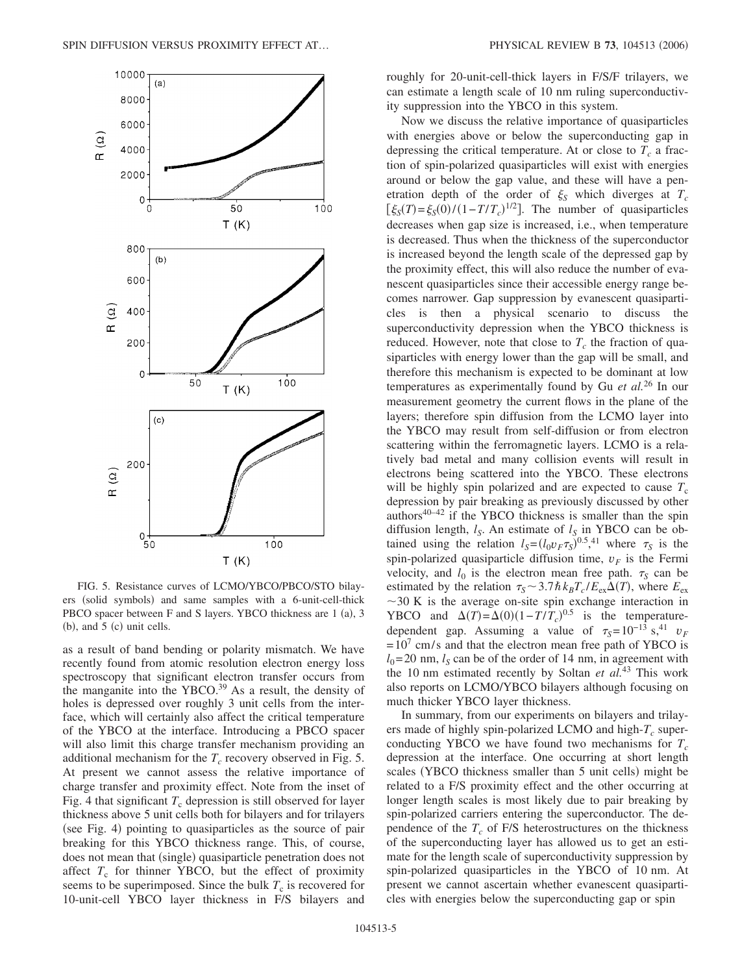

FIG. 5. Resistance curves of LCMO/YBCO/PBCO/STO bilayers (solid symbols) and same samples with a 6-unit-cell-thick PBCO spacer between F and S layers. YBCO thickness are 1 (a), 3  $(b)$ , and  $5$  (c) unit cells.

as a result of band bending or polarity mismatch. We have recently found from atomic resolution electron energy loss spectroscopy that significant electron transfer occurs from the manganite into the YBCO.<sup>39</sup> As a result, the density of holes is depressed over roughly 3 unit cells from the interface, which will certainly also affect the critical temperature of the YBCO at the interface. Introducing a PBCO spacer will also limit this charge transfer mechanism providing an additional mechanism for the  $T_c$  recovery observed in Fig. 5. At present we cannot assess the relative importance of charge transfer and proximity effect. Note from the inset of Fig. 4 that significant  $T_c$  depression is still observed for layer thickness above 5 unit cells both for bilayers and for trilayers (see Fig. 4) pointing to quasiparticles as the source of pair breaking for this YBCO thickness range. This, of course, does not mean that (single) quasiparticle penetration does not affect  $T_c$  for thinner YBCO, but the effect of proximity seems to be superimposed. Since the bulk  $T_c$  is recovered for 10-unit-cell YBCO layer thickness in F/S bilayers and roughly for 20-unit-cell-thick layers in F/S/F trilayers, we can estimate a length scale of 10 nm ruling superconductivity suppression into the YBCO in this system.

Now we discuss the relative importance of quasiparticles with energies above or below the superconducting gap in depressing the critical temperature. At or close to  $T_c$  a fraction of spin-polarized quasiparticles will exist with energies around or below the gap value, and these will have a penetration depth of the order of  $\xi_s$  which diverges at  $T_c$  $\left[\xi_{S}(T) = \xi_{S}(0)/(1 - T/T_c)^{1/2}\right]$ . The number of quasiparticles decreases when gap size is increased, i.e., when temperature is decreased. Thus when the thickness of the superconductor is increased beyond the length scale of the depressed gap by the proximity effect, this will also reduce the number of evanescent quasiparticles since their accessible energy range becomes narrower. Gap suppression by evanescent quasiparticles is then a physical scenario to discuss the superconductivity depression when the YBCO thickness is reduced. However, note that close to  $T_c$  the fraction of quasiparticles with energy lower than the gap will be small, and therefore this mechanism is expected to be dominant at low temperatures as experimentally found by Gu *et al.*<sup>26</sup> In our measurement geometry the current flows in the plane of the layers; therefore spin diffusion from the LCMO layer into the YBCO may result from self-diffusion or from electron scattering within the ferromagnetic layers. LCMO is a relatively bad metal and many collision events will result in electrons being scattered into the YBCO. These electrons will be highly spin polarized and are expected to cause  $T_c$ depression by pair breaking as previously discussed by other authors $40-42$  if the YBCO thickness is smaller than the spin diffusion length,  $l_S$ . An estimate of  $l_S$  in YBCO can be obtained using the relation  $l_S = (l_0 v_F \tau_S)^{0.5}$ ,<sup>41</sup> where  $\tau_S$  is the spin-polarized quasiparticle diffusion time,  $v_F$  is the Fermi velocity, and  $l_0$  is the electron mean free path.  $\tau_s$  can be estimated by the relation  $\tau_s \sim 3.7 \hbar k_B T_c / E_{ex} \Delta(T)$ , where  $E_{ex}$  $\sim$ 30 K is the average on-site spin exchange interaction in YBCO and  $\Delta(T) = \Delta(0)(1 - T/T_c)^{0.5}$  is the temperaturedependent gap. Assuming a value of  $\tau_s = 10^{-13}$  s,<sup>41</sup> *v*<sub>F</sub>  $=10^7$  cm/s and that the electron mean free path of YBCO is  $l_0$ =20 nm,  $l_s$  can be of the order of 14 nm, in agreement with the 10 nm estimated recently by Soltan *et al.*<sup>43</sup> This work also reports on LCMO/YBCO bilayers although focusing on much thicker YBCO layer thickness.

In summary, from our experiments on bilayers and trilayers made of highly spin-polarized LCMO and high- $T_c$  superconducting YBCO we have found two mechanisms for  $T_c$ depression at the interface. One occurring at short length scales (YBCO thickness smaller than 5 unit cells) might be related to a F/S proximity effect and the other occurring at longer length scales is most likely due to pair breaking by spin-polarized carriers entering the superconductor. The dependence of the  $T_c$  of F/S heterostructures on the thickness of the superconducting layer has allowed us to get an estimate for the length scale of superconductivity suppression by spin-polarized quasiparticles in the YBCO of 10 nm. At present we cannot ascertain whether evanescent quasiparticles with energies below the superconducting gap or spin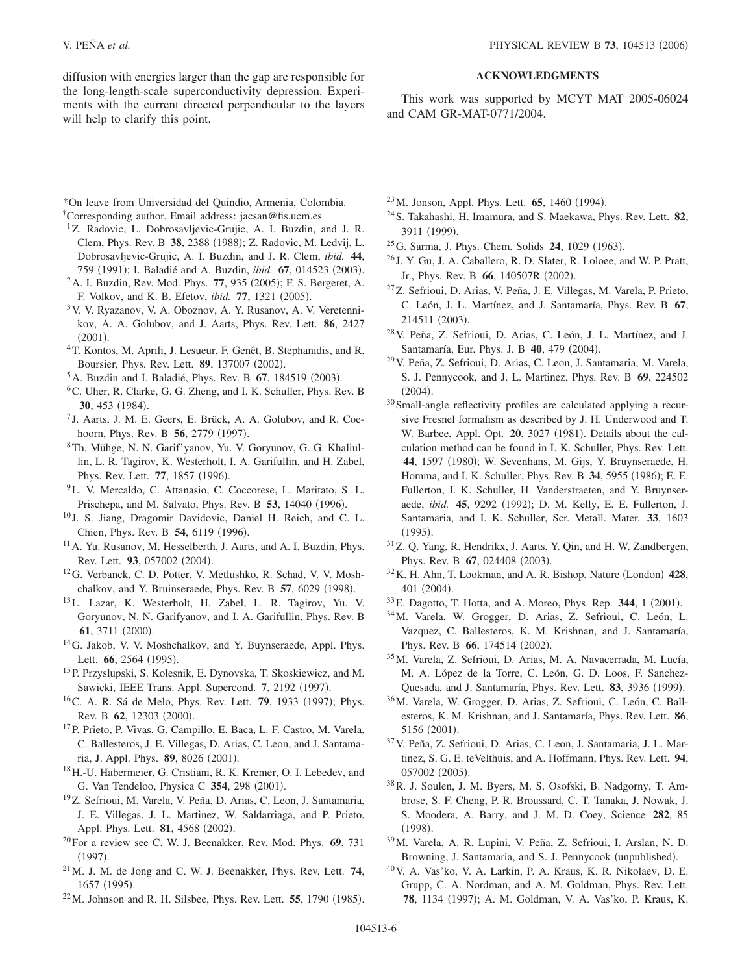diffusion with energies larger than the gap are responsible for the long-length-scale superconductivity depression. Experiments with the current directed perpendicular to the layers will help to clarify this point.

## **ACKNOWLEDGMENTS**

This work was supported by MCYT MAT 2005-06024 and CAM GR-MAT-0771/2004.

\*On leave from Universidad del Quindio, Armenia, Colombia.

†Corresponding author. Email address: jacsan@fis.ucm.es

- <sup>1</sup>Z. Radovic, L. Dobrosavljevic-Grujic, A. I. Buzdin, and J. R. Clem, Phys. Rev. B 38, 2388 (1988); Z. Radovic, M. Ledvij, L. Dobrosavljevic-Grujic, A. I. Buzdin, and J. R. Clem, *ibid.* **44**, 759 (1991); I. Baladié and A. Buzdin, *ibid.* **67**, 014523 (2003).
- <sup>2</sup> A. I. Buzdin, Rev. Mod. Phys. 77, 935 (2005); F. S. Bergeret, A. F. Volkov, and K. B. Efetov, *ibid.* **77**, 1321 (2005).
- 3V. V. Ryazanov, V. A. Oboznov, A. Y. Rusanov, A. V. Veretennikov, A. A. Golubov, and J. Aarts, Phys. Rev. Lett. **86**, 2427  $(2001).$
- 4T. Kontos, M. Aprili, J. Lesueur, F. Genêt, B. Stephanidis, and R. Boursier, Phys. Rev. Lett. 89, 137007 (2002).
- <sup>5</sup> A. Buzdin and I. Baladié, Phys. Rev. B **67**, 184519 (2003).
- 6C. Uher, R. Clarke, G. G. Zheng, and I. K. Schuller, Phys. Rev. B 30, 453 (1984).
- <sup>7</sup> J. Aarts, J. M. E. Geers, E. Brück, A. A. Golubov, and R. Coehoorn, Phys. Rev. B 56, 2779 (1997).
- 8Th. Mühge, N. N. Garif'yanov, Yu. V. Goryunov, G. G. Khaliullin, L. R. Tagirov, K. Westerholt, I. A. Garifullin, and H. Zabel, Phys. Rev. Lett. 77, 1857 (1996).
- 9L. V. Mercaldo, C. Attanasio, C. Coccorese, L. Maritato, S. L. Prischepa, and M. Salvato, Phys. Rev. B 53, 14040 (1996).
- <sup>10</sup> J. S. Jiang, Dragomir Davidovic, Daniel H. Reich, and C. L. Chien, Phys. Rev. B 54, 6119 (1996).
- <sup>11</sup> A. Yu. Rusanov, M. Hesselberth, J. Aarts, and A. I. Buzdin, Phys. Rev. Lett. 93, 057002 (2004).
- 12G. Verbanck, C. D. Potter, V. Metlushko, R. Schad, V. V. Moshchalkov, and Y. Bruinseraede, Phys. Rev. B 57, 6029 (1998).
- 13L. Lazar, K. Westerholt, H. Zabel, L. R. Tagirov, Yu. V. Goryunov, N. N. Garifyanov, and I. A. Garifullin, Phys. Rev. B 61, 3711 (2000).
- 14G. Jakob, V. V. Moshchalkov, and Y. Buynseraede, Appl. Phys. Lett. **66**, 2564 (1995).
- 15P. Przyslupski, S. Kolesnik, E. Dynovska, T. Skoskiewicz, and M. Sawicki, IEEE Trans. Appl. Supercond. 7, 2192 (1997).
- <sup>16</sup>C. A. R. Sá de Melo, Phys. Rev. Lett. **79**, 1933 (1997); Phys. Rev. B 62, 12303 (2000).
- 17P. Prieto, P. Vivas, G. Campillo, E. Baca, L. F. Castro, M. Varela, C. Ballesteros, J. E. Villegas, D. Arias, C. Leon, and J. Santamaria, J. Appl. Phys. **89**, 8026 (2001).
- 18H.-U. Habermeier, G. Cristiani, R. K. Kremer, O. I. Lebedev, and G. Van Tendeloo, Physica C 354, 298 (2001).
- <sup>19</sup>Z. Sefrioui, M. Varela, V. Peña, D. Arias, C. Leon, J. Santamaria, J. E. Villegas, J. L. Martinez, W. Saldarriaga, and P. Prieto, Appl. Phys. Lett. **81**, 4568 (2002).
- 20For a review see C. W. J. Beenakker, Rev. Mod. Phys. **69**, 731  $(1997).$
- 21M. J. M. de Jong and C. W. J. Beenakker, Phys. Rev. Lett. **74**, 1657 (1995).
- $^{22}$ M. Johnson and R. H. Silsbee, Phys. Rev. Lett. **55**, 1790 (1985).
- <sup>23</sup> M. Jonson, Appl. Phys. Lett. **65**, 1460 (1994).
- 24S. Takahashi, H. Imamura, and S. Maekawa, Phys. Rev. Lett. **82**, 3911 (1999).
- <sup>25</sup>G. Sarma, J. Phys. Chem. Solids **24**, 1029 (1963).
- <sup>26</sup> J. Y. Gu, J. A. Caballero, R. D. Slater, R. Loloee, and W. P. Pratt, Jr., Phys. Rev. B 66, 140507R (2002).
- 27Z. Sefrioui, D. Arias, V. Peña, J. E. Villegas, M. Varela, P. Prieto, C. León, J. L. Martínez, and J. Santamaría, Phys. Rev. B **67**, 214511 (2003).
- 28V. Peña, Z. Sefrioui, D. Arias, C. León, J. L. Martínez, and J. Santamaría, Eur. Phys. J. B 40, 479 (2004).
- 29V. Peña, Z. Sefrioui, D. Arias, C. Leon, J. Santamaria, M. Varela, S. J. Pennycook, and J. L. Martinez, Phys. Rev. B **69**, 224502  $(2004).$
- 30Small-angle reflectivity profiles are calculated applying a recursive Fresnel formalism as described by J. H. Underwood and T. W. Barbee, Appl. Opt. 20, 3027 (1981). Details about the calculation method can be found in I. K. Schuller, Phys. Rev. Lett. 44, 1597 (1980); W. Sevenhans, M. Gijs, Y. Bruynseraede, H. Homma, and I. K. Schuller, Phys. Rev. B 34, 5955 (1986); E. E. Fullerton, I. K. Schuller, H. Vanderstraeten, and Y. Bruynseraede, *ibid.* **45**, 9292 (1992); D. M. Kelly, E. E. Fullerton, J. Santamaria, and I. K. Schuller, Scr. Metall. Mater. **33**, 1603  $(1995).$
- 31Z. Q. Yang, R. Hendrikx, J. Aarts, Y. Qin, and H. W. Zandbergen, Phys. Rev. B 67, 024408 (2003).
- <sup>32</sup> K. H. Ahn, T. Lookman, and A. R. Bishop, Nature (London) 428, 401 (2004).
- <sup>33</sup> E. Dagotto, T. Hotta, and A. Moreo, Phys. Rep. **344**, 1 (2001).
- 34M. Varela, W. Grogger, D. Arias, Z. Sefrioui, C. León, L. Vazquez, C. Ballesteros, K. M. Krishnan, and J. Santamaría, Phys. Rev. B 66, 174514 (2002).
- 35M. Varela, Z. Sefrioui, D. Arias, M. A. Navacerrada, M. Lucía, M. A. López de la Torre, C. León, G. D. Loos, F. Sanchez-Quesada, and J. Santamaría, Phys. Rev. Lett. 83, 3936 (1999).
- 36M. Varela, W. Grogger, D. Arias, Z. Sefrioui, C. León, C. Ballesteros, K. M. Krishnan, and J. Santamaría, Phys. Rev. Lett. **86**, 5156 (2001).
- 37V. Peña, Z. Sefrioui, D. Arias, C. Leon, J. Santamaria, J. L. Martinez, S. G. E. teVelthuis, and A. Hoffmann, Phys. Rev. Lett. **94**, 057002 (2005).
- 38R. J. Soulen, J. M. Byers, M. S. Osofski, B. Nadgorny, T. Ambrose, S. F. Cheng, P. R. Broussard, C. T. Tanaka, J. Nowak, J. S. Moodera, A. Barry, and J. M. D. Coey, Science **282**, 85  $(1998).$
- 39M. Varela, A. R. Lupini, V. Peña, Z. Sefrioui, I. Arslan, N. D. Browning, J. Santamaria, and S. J. Pennycook (unpublished).
- 40V. A. Vas'ko, V. A. Larkin, P. A. Kraus, K. R. Nikolaev, D. E. Grupp, C. A. Nordman, and A. M. Goldman, Phys. Rev. Lett. 78, 1134 (1997); A. M. Goldman, V. A. Vas'ko, P. Kraus, K.